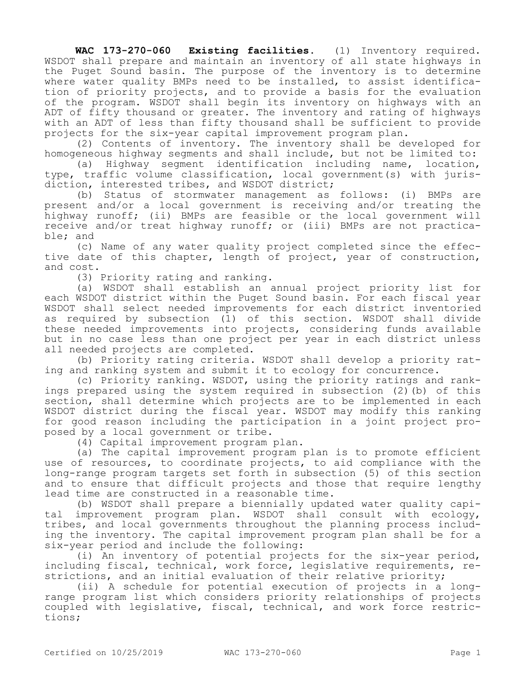**WAC 173-270-060 Existing facilities.** (1) Inventory required. WSDOT shall prepare and maintain an inventory of all state highways in the Puget Sound basin. The purpose of the inventory is to determine where water quality BMPs need to be installed, to assist identification of priority projects, and to provide a basis for the evaluation of the program. WSDOT shall begin its inventory on highways with an ADT of fifty thousand or greater. The inventory and rating of highways with an ADT of less than fifty thousand shall be sufficient to provide projects for the six-year capital improvement program plan.

(2) Contents of inventory. The inventory shall be developed for homogeneous highway segments and shall include, but not be limited to:

(a) Highway segment identification including name, location, type, traffic volume classification, local government(s) with jurisdiction, interested tribes, and WSDOT district;

(b) Status of stormwater management as follows: (i) BMPs are present and/or a local government is receiving and/or treating the highway runoff; (ii) BMPs are feasible or the local government will receive and/or treat highway runoff; or (iii) BMPs are not practicable; and

(c) Name of any water quality project completed since the effective date of this chapter, length of project, year of construction, and cost.

(3) Priority rating and ranking.

(a) WSDOT shall establish an annual project priority list for each WSDOT district within the Puget Sound basin. For each fiscal year WSDOT shall select needed improvements for each district inventoried as required by subsection (1) of this section. WSDOT shall divide these needed improvements into projects, considering funds available but in no case less than one project per year in each district unless all needed projects are completed.

(b) Priority rating criteria. WSDOT shall develop a priority rating and ranking system and submit it to ecology for concurrence.

(c) Priority ranking. WSDOT, using the priority ratings and rankings prepared using the system required in subsection (2)(b) of this section, shall determine which projects are to be implemented in each WSDOT district during the fiscal year. WSDOT may modify this ranking for good reason including the participation in a joint project proposed by a local government or tribe.

(4) Capital improvement program plan.

(a) The capital improvement program plan is to promote efficient use of resources, to coordinate projects, to aid compliance with the long-range program targets set forth in subsection (5) of this section and to ensure that difficult projects and those that require lengthy lead time are constructed in a reasonable time.

(b) WSDOT shall prepare a biennially updated water quality capital improvement program plan. WSDOT shall consult with ecology, tribes, and local governments throughout the planning process including the inventory. The capital improvement program plan shall be for a six-year period and include the following:

(i) An inventory of potential projects for the six-year period, including fiscal, technical, work force, legislative requirements, restrictions, and an initial evaluation of their relative priority;

(ii) A schedule for potential execution of projects in a longrange program list which considers priority relationships of projects coupled with legislative, fiscal, technical, and work force restrictions;